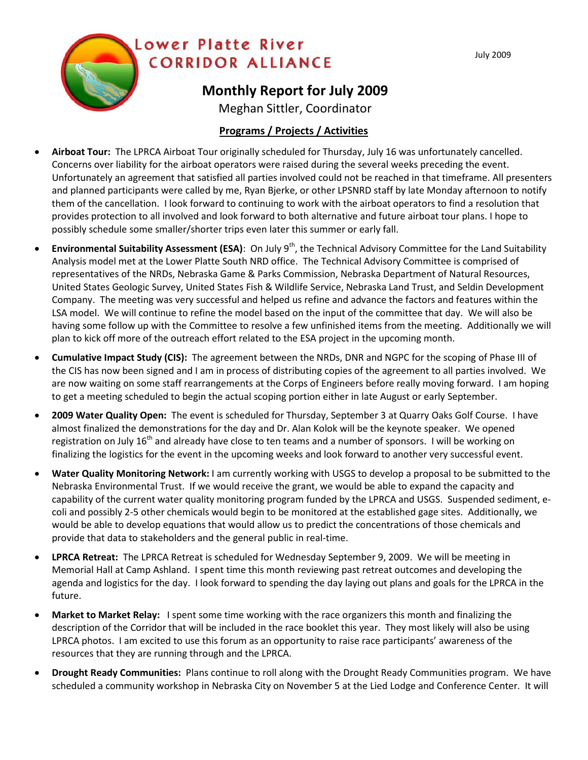

## **Programs / Projects / Activities**

- **Airboat Tour:** The LPRCA Airboat Tour originally scheduled for Thursday, July 16 was unfortunately cancelled. Concerns over liability for the airboat operators were raised during the several weeks preceding the event. Unfortunately an agreement that satisfied all parties involved could not be reached in that timeframe. All presenters and planned participants were called by me, Ryan Bjerke, or other LPSNRD staff by late Monday afternoon to notify them of the cancellation. I look forward to continuing to work with the airboat operators to find a resolution that provides protection to all involved and look forward to both alternative and future airboat tour plans. I hope to possibly schedule some smaller/shorter trips even later this summer or early fall.
- **Environmental Suitability Assessment (ESA)**: On July 9<sup>th</sup>, the Technical Advisory Committee for the Land Suitability Analysis model met at the Lower Platte South NRD office. The Technical Advisory Committee is comprised of representatives of the NRDs, Nebraska Game & Parks Commission, Nebraska Department of Natural Resources, United States Geologic Survey, United States Fish & Wildlife Service, Nebraska Land Trust, and Seldin Development Company. The meeting was very successful and helped us refine and advance the factors and features within the LSA model. We will continue to refine the model based on the input of the committee that day. We will also be having some follow up with the Committee to resolve a few unfinished items from the meeting. Additionally we will plan to kick off more of the outreach effort related to the ESA project in the upcoming month.
- **Cumulative Impact Study (CIS):** The agreement between the NRDs, DNR and NGPC for the scoping of Phase III of the CIS has now been signed and I am in process of distributing copies of the agreement to all parties involved. We are now waiting on some staff rearrangements at the Corps of Engineers before really moving forward. I am hoping to get a meeting scheduled to begin the actual scoping portion either in late August or early September.
- **2009 Water Quality Open:** The event is scheduled for Thursday, September 3 at Quarry Oaks Golf Course. I have almost finalized the demonstrations for the day and Dr. Alan Kolok will be the keynote speaker. We opened registration on July 16<sup>th</sup> and already have close to ten teams and a number of sponsors. I will be working on finalizing the logistics for the event in the upcoming weeks and look forward to another very successful event.
- **Water Quality Monitoring Network:** I am currently working with USGS to develop a proposal to be submitted to the Nebraska Environmental Trust. If we would receive the grant, we would be able to expand the capacity and capability of the current water quality monitoring program funded by the LPRCA and USGS. Suspended sediment, ecoli and possibly 2-5 other chemicals would begin to be monitored at the established gage sites. Additionally, we would be able to develop equations that would allow us to predict the concentrations of those chemicals and provide that data to stakeholders and the general public in real-time.
- **LPRCA Retreat:** The LPRCA Retreat is scheduled for Wednesday September 9, 2009. We will be meeting in Memorial Hall at Camp Ashland. I spent time this month reviewing past retreat outcomes and developing the agenda and logistics for the day. I look forward to spending the day laying out plans and goals for the LPRCA in the future.
- **Market to Market Relay:** I spent some time working with the race organizers this month and finalizing the description of the Corridor that will be included in the race booklet this year. They most likely will also be using LPRCA photos. I am excited to use this forum as an opportunity to raise race participants' awareness of the resources that they are running through and the LPRCA.
- **Drought Ready Communities:** Plans continue to roll along with the Drought Ready Communities program. We have scheduled a community workshop in Nebraska City on November 5 at the Lied Lodge and Conference Center. It will